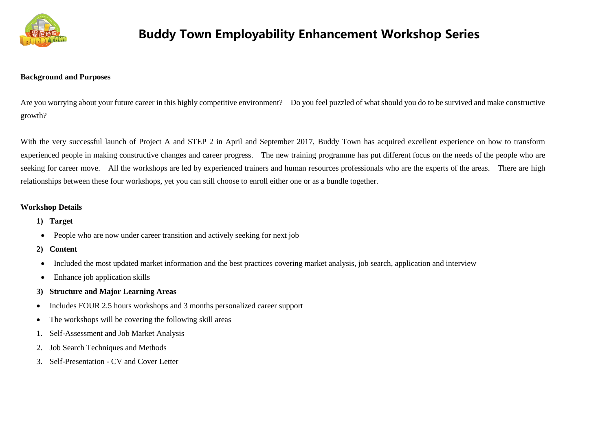

#### **Background and Purposes**

Are you worrying about your future career in this highly competitive environment? Do you feel puzzled of what should you do to be survived and make constructive growth?

With the very successful launch of Project A and STEP 2 in April and September 2017, Buddy Town has acquired excellent experience on how to transform experienced people in making constructive changes and career progress. The new training programme has put different focus on the needs of the people who are seeking for career move. All the workshops are led by experienced trainers and human resources professionals who are the experts of the areas. There are high relationships between these four workshops, yet you can still choose to enroll either one or as a bundle together.

### **Workshop Details**

- **1) Target**
- People who are now under career transition and actively seeking for next job
- **2) Content**
- Included the most updated market information and the best practices covering market analysis, job search, application and interview
- Enhance job application skills
- **3) Structure and Major Learning Areas**
- Includes FOUR 2.5 hours workshops and 3 months personalized career support
- The workshops will be covering the following skill areas
- 1. Self-Assessment and Job Market Analysis
- 2. Job Search Techniques and Methods
- 3. Self-Presentation CV and Cover Letter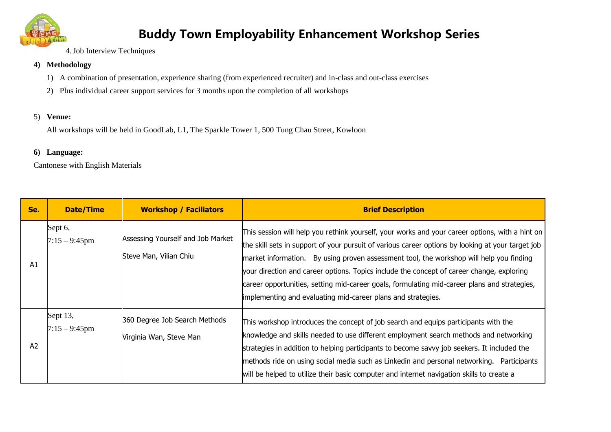

4.Job Interview Techniques

### **4) Methodology**

- 1) A combination of presentation, experience sharing (from experienced recruiter) and in-class and out-class exercises
- 2) Plus individual career support services for 3 months upon the completion of all workshops

### 5) **Venue:**

All workshops will be held in GoodLab, L1, The Sparkle Tower 1, 500 Tung Chau Street, Kowloon

### **6) Language:**

Cantonese with English Materials

| Se.            | <b>Date/Time</b>             | <b>Workshop / Faciliators</b>                               | <b>Brief Description</b>                                                                                                                                                                                                                                                                                                                                                                                                                                                                                                                                     |
|----------------|------------------------------|-------------------------------------------------------------|--------------------------------------------------------------------------------------------------------------------------------------------------------------------------------------------------------------------------------------------------------------------------------------------------------------------------------------------------------------------------------------------------------------------------------------------------------------------------------------------------------------------------------------------------------------|
| A1             | Sept 6,<br>$7:15 - 9:45$ pm  | Assessing Yourself and Job Market<br>Steve Man, Vilian Chiu | This session will help you rethink yourself, your works and your career options, with a hint on<br>the skill sets in support of your pursuit of various career options by looking at your target job<br>market information. By using proven assessment tool, the workshop will help you finding<br>your direction and career options. Topics include the concept of career change, exploring<br>career opportunities, setting mid-career goals, formulating mid-career plans and strategies,<br>implementing and evaluating mid-career plans and strategies. |
| A <sub>2</sub> | Sept 13,<br>$7:15 - 9:45$ pm | 360 Degree Job Search Methods<br>Virginia Wan, Steve Man    | This workshop introduces the concept of job search and equips participants with the<br>knowledge and skills needed to use different employment search methods and networking<br>strategies in addition to helping participants to become savvy job seekers. It included the<br>methods ride on using social media such as Linkedin and personal networking. Participants<br>will be helped to utilize their basic computer and internet navigation skills to create a                                                                                        |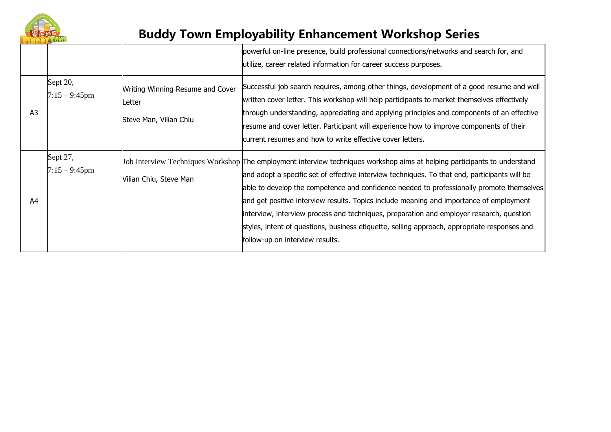

|                |                              |                                                                      | powerful on-line presence, build professional connections/networks and search for, and<br>utilize, career related information for career success purposes.                                                                                                                                                                                                                                                                                                                                                                                                                                                                                        |
|----------------|------------------------------|----------------------------------------------------------------------|---------------------------------------------------------------------------------------------------------------------------------------------------------------------------------------------------------------------------------------------------------------------------------------------------------------------------------------------------------------------------------------------------------------------------------------------------------------------------------------------------------------------------------------------------------------------------------------------------------------------------------------------------|
| A <sub>3</sub> | Sept 20,<br>$7:15 - 9:45$ pm | Writing Winning Resume and Cover<br>Letter<br>Steve Man, Vilian Chiu | Successful job search requires, among other things, development of a good resume and well<br>written cover letter. This workshop will help participants to market themselves effectively<br>through understanding, appreciating and applying principles and components of an effective<br>resume and cover letter. Participant will experience how to improve components of their<br>current resumes and how to write effective cover letters.                                                                                                                                                                                                    |
| A4             | Sept 27,<br>$7:15 - 9:45$ pm | Vilian Chiu, Steve Man                                               | Job Interview Techniques Workshop The employment interview techniques workshop aims at helping participants to understand<br>and adopt a specific set of effective interview techniques. To that end, participants will be<br>able to develop the competence and confidence needed to professionally promote themselves<br>and get positive interview results. Topics include meaning and importance of employment<br>interview, interview process and techniques, preparation and employer research, question<br>styles, intent of questions, business etiquette, selling approach, appropriate responses and<br>follow-up on interview results. |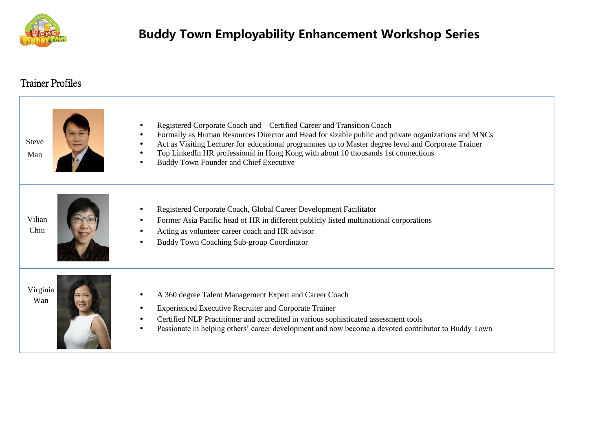

### Trainer Profiles

| <b>Steve</b><br>Man | Registered Corporate Coach and Certified Career and Transition Coach<br>Formally as Human Resources Director and Head for sizable public and private organizations and MNCs<br>Act as Visiting Lecturer for educational programmes up to Master degree level and Corporate Trainer<br>Top LinkedIn HR professional in Hong Kong with about 10 thousands 1st connections<br>Buddy Town Founder and Chief Executive |
|---------------------|-------------------------------------------------------------------------------------------------------------------------------------------------------------------------------------------------------------------------------------------------------------------------------------------------------------------------------------------------------------------------------------------------------------------|
| Vilian<br>Chiu      | Registered Corporate Coach, Global Career Development Facilitator<br>Former Asia Pacific head of HR in different publicly listed multinational corporations<br>Acting as volunteer career coach and HR advisor<br><b>Buddy Town Coaching Sub-group Coordinator</b><br>$\bullet$                                                                                                                                   |
| Virginia<br>Wan     | A 360 degree Talent Management Expert and Career Coach<br><b>Experienced Executive Recruiter and Corporate Trainer</b><br>$\bullet$<br>Certified NLP Practitioner and accredited in various sophisticated assessment tools<br>$\bullet$<br>Passionate in helping others' career development and now become a devoted contributor to Buddy Town<br>$\bullet$                                                       |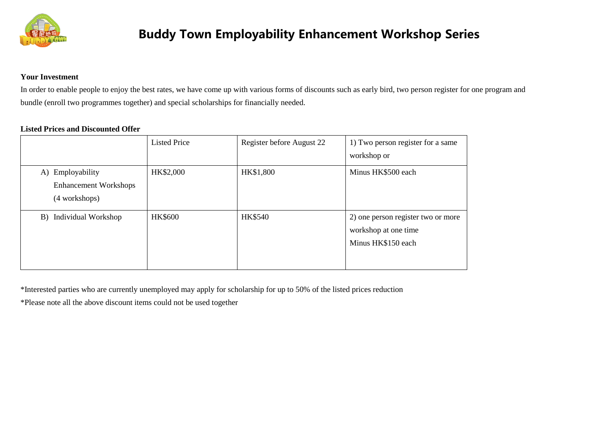

### **Your Investment**

In order to enable people to enjoy the best rates, we have come up with various forms of discounts such as early bird, two person register for one program and bundle (enroll two programmes together) and special scholarships for financially needed.

### **Listed Prices and Discounted Offer**

|                                                                      | <b>Listed Price</b> | Register before August 22 | 1) Two person register for a same<br>workshop or                                 |
|----------------------------------------------------------------------|---------------------|---------------------------|----------------------------------------------------------------------------------|
| Employability<br>A)<br><b>Enhancement Workshops</b><br>(4 workshops) | HK\$2,000           | HK\$1,800                 | Minus HK\$500 each                                                               |
| B) Individual Workshop                                               | <b>HK\$600</b>      | HK\$540                   | 2) one person register two or more<br>workshop at one time<br>Minus HK\$150 each |

\*Interested parties who are currently unemployed may apply for scholarship for up to 50% of the listed prices reduction

\*Please note all the above discount items could not be used together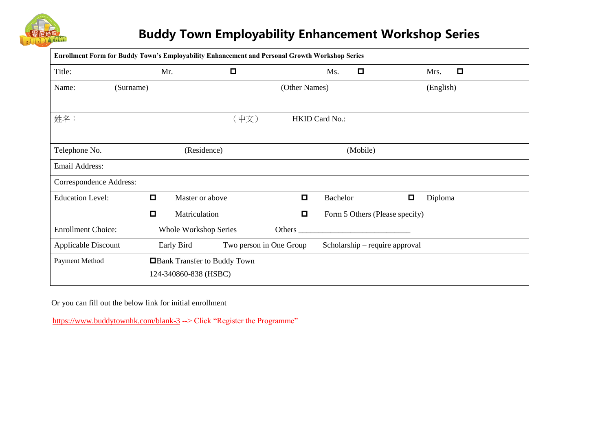

| Enrollment Form for Buddy Town's Employability Enhancement and Personal Growth Workshop Series |           |                                                      |        |                                          |                       |          |        |           |        |  |
|------------------------------------------------------------------------------------------------|-----------|------------------------------------------------------|--------|------------------------------------------|-----------------------|----------|--------|-----------|--------|--|
| Title:                                                                                         |           | Mr.                                                  | $\Box$ |                                          | Ms.                   | $\Box$   |        | Mrs.      | $\Box$ |  |
| Name:                                                                                          | (Surname) |                                                      |        | (Other Names)                            |                       |          |        | (English) |        |  |
| 姓名:                                                                                            |           |                                                      | (中文)   |                                          | <b>HKID Card No.:</b> |          |        |           |        |  |
| Telephone No.                                                                                  |           | (Residence)                                          |        |                                          |                       | (Mobile) |        |           |        |  |
| <b>Email Address:</b>                                                                          |           |                                                      |        |                                          |                       |          |        |           |        |  |
| Correspondence Address:                                                                        |           |                                                      |        |                                          |                       |          |        |           |        |  |
| <b>Education Level:</b>                                                                        | $\Box$    | Master or above                                      |        | $\Box$                                   | <b>Bachelor</b>       |          | $\Box$ | Diploma   |        |  |
|                                                                                                | $\Box$    | Matriculation                                        |        | $\Box$<br>Form 5 Others (Please specify) |                       |          |        |           |        |  |
| <b>Enrollment Choice:</b><br>Whole Workshop Series                                             |           | Others $\overline{\phantom{a}}$                      |        |                                          |                       |          |        |           |        |  |
| Two person in One Group<br>Applicable Discount<br>Early Bird                                   |           |                                                      |        | Scholarship – require approval           |                       |          |        |           |        |  |
| Payment Method                                                                                 |           | Bank Transfer to Buddy Town<br>124-340860-838 (HSBC) |        |                                          |                       |          |        |           |        |  |

Or you can fill out the below link for initial enrollment

<https://www.buddytownhk.com/blank-3> --> Click "Register the Programme"